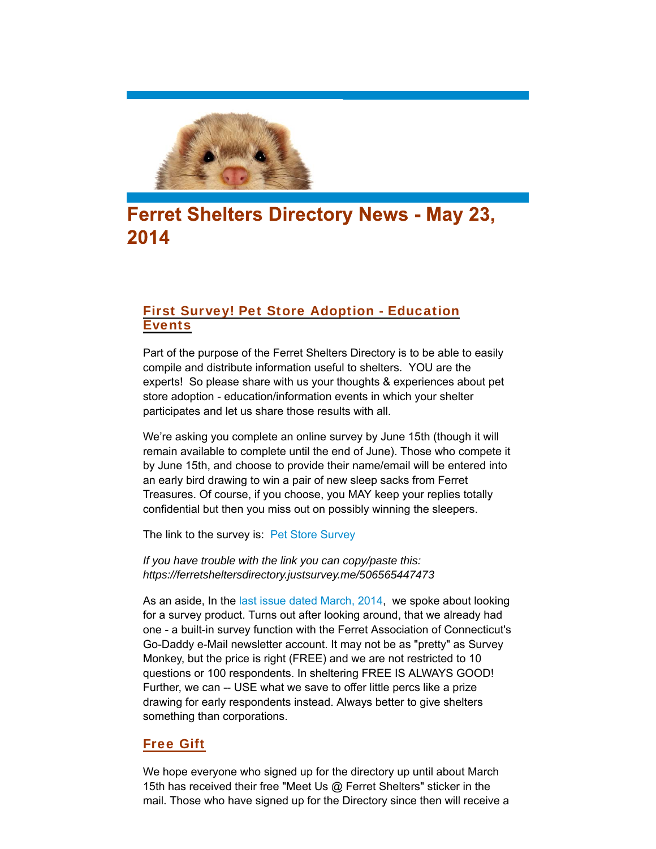

# **Ferret Shelters Directory News - May 23,** 2014

# First Survey! Pet Store Adoption - Education Events

Part of the purpose of the Ferret Shelters Directory is to be able to easily compile and distribute information useful to shelters. YOU are the experts! So please share with us your thoughts & experiences about pet store adoption - education/information events in which your shelter participates and let us share those results with all.

We're asking you complete an online survey by June 15th (though it will remain available to complete until the end of June). Those who compete it by June 15th, and choose to provide their name/email will be entered into an early bird drawing to win a pair of new sleep sacks from Ferret Treasures. Of course, if you choose, you MAY keep your replies totally confidential but then you miss out on possibly winning the sleepers.

The link to the survey is: Pet Store Survey

*If you have trouble with the link you can copy/paste this: https://ferretsheltersdirectory.justsurvey.me/506565447473*

As an aside, In the last issue dated March, 2014, we spoke about looking for a survey product. Turns out after looking around, that we already had one - a built-in survey function with the Ferret Association of Connecticut's Go-Daddy e-Mail newsletter account. It may not be as "pretty" as Survey Monkey, but the price is right (FREE) and we are not restricted to 10 questions or 100 respondents. In sheltering FREE IS ALWAYS GOOD! Further, we can -- USE what we save to offer little percs like a prize drawing for early respondents instead. Always better to give shelters something than corporations.

## Free Gift

We hope everyone who signed up for the directory up until about March 15th has received their free "Meet Us @ Ferret Shelters" sticker in the mail. Those who have signed up for the Directory since then will receive a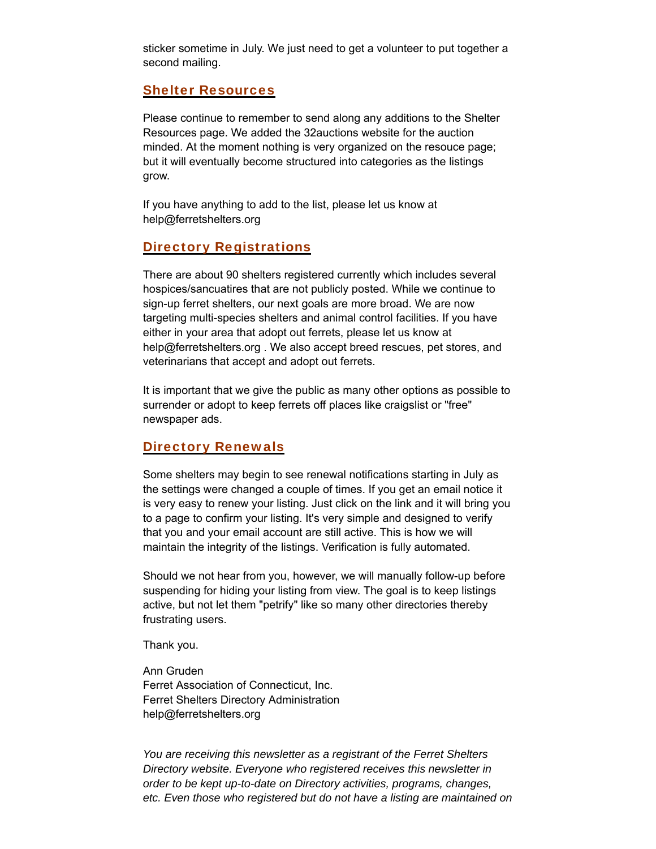sticker sometime in July. We just need to get a volunteer to put together a second mailing.

#### Shelter Resources

Please continue to remember to send along any additions to the Shelter Resources page. We added the 32auctions website for the auction minded. At the moment nothing is very organized on the resouce page; but it will eventually become structured into categories as the listings grow.

If you have anything to add to the list, please let us know at help@ferretshelters.org

## Directory Registrations

There are about 90 shelters registered currently which includes several hospices/sancuatires that are not publicly posted. While we continue to sign-up ferret shelters, our next goals are more broad. We are now targeting multi-species shelters and animal control facilities. If you have either in your area that adopt out ferrets, please let us know at help@ferretshelters.org. We also accept breed rescues, pet stores, and veterinarians that accept and adopt out ferrets.

It is important that we give the public as many other options as possible to surrender or adopt to keep ferrets off places like craigslist or "free" newspaper ads.

### **Directory Renewals**

Some shelters may begin to see renewal notifications starting in July as the settings were changed a couple of times. If you get an email notice it is very easy to renew your listing. Just click on the link and it will bring you to a page to confirm your listing. It's very simple and designed to verify that you and your email account are still active. This is how we will maintain the integrity of the listings. Verification is fully automated.

Should we not hear from you, however, we will manually follow-up before suspending for hiding your listing from view. The goal is to keep listings active, but not let them "petrify" like so many other directories thereby frustrating users.

Thank you.

Ann Gruden Ferret Association of Connecticut, Inc. Ferret Shelters Directory Administration help@ferretshelters.org

*You are receiving this newsletter as a registrant of the Ferret Shelters Directory website. Everyone who registered receives this newsletter in order to be kept up-to-date on Directory activities, programs, changes, etc. Even those who registered but do not have a listing are maintained on*